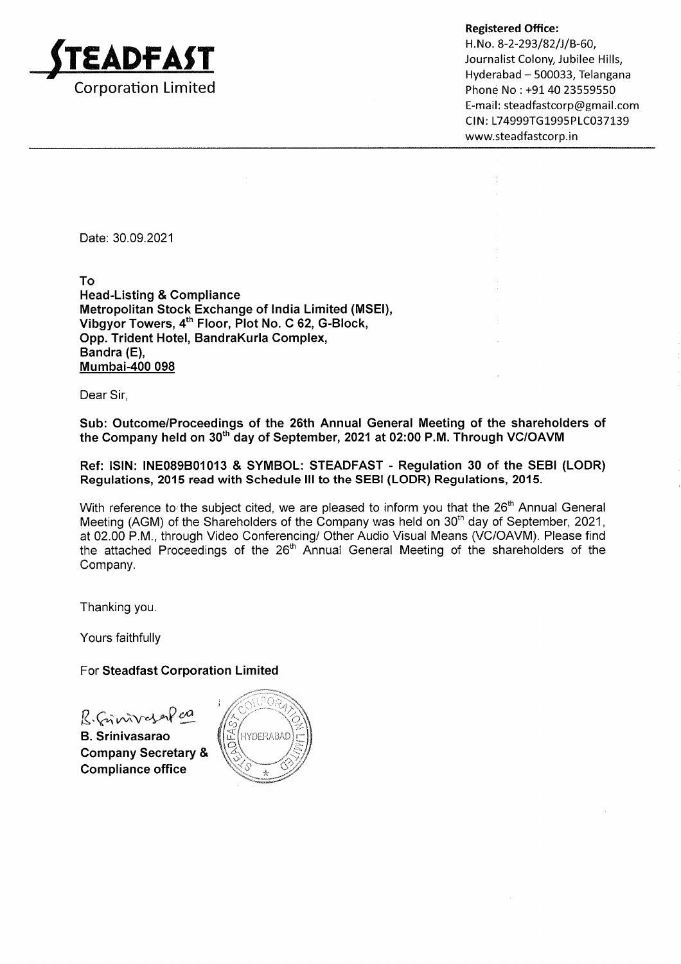

Registered Office:

H. No. 8-2-293/82/J/B-60, Journalist Colony, Jubilee Hills, Hyderabad - 500033, Telangana Phone No: +91 40 23559550 E-mail: steadfastcorp@gmail.com CIN: L74999TG1995PLC037139 www.steadfastcorp.in

Date: 30.09.2021

To

Head-Listing & Gompliance Metropolitan Stock Exchange of lndia Limited (MSEI), Vibgyor Towers, 4<sup>th</sup> Floor, Plot No. C 62, G-Block, Opp. Trident Hotel, BandraKurla Complex, Bandra (E), Mumbai-400 098

Dear Sir,

Sub: Outcome/Proceedings of the 26th Annual General Meeting of the shareholders of the Company held on 30<sup>th</sup> day of September, 2021 at 02:00 P.M. Through VC/OAVM

Ref: ISIN: INE089B01013 & SYMBOL: STEADFAST - Regulation 30 of the SEBI (LODR) Regulations, 201F read with Schedule lll to the SEBI (LODR) Regulations, 2015.

With reference to the subject cited, we are pleased to inform you that the  $26<sup>th</sup>$  Annual General Meeting (AGM) of the Shareholders of the Company was held on 30<sup>th</sup> day of September, 2021, at 02.00 P.M., through Video Conferencing/ Other Audio Visual Means (VC/OAVM). Please find the attached Proceedings of the 26<sup>th</sup> Annual General Meeting of the shareholders of the Company.

Thanking you.

Yours faithfully

For Steadfast Gorporation Limited

B. Gimmer en

B. Srinivasarao Gompany Secretary & Compliance office

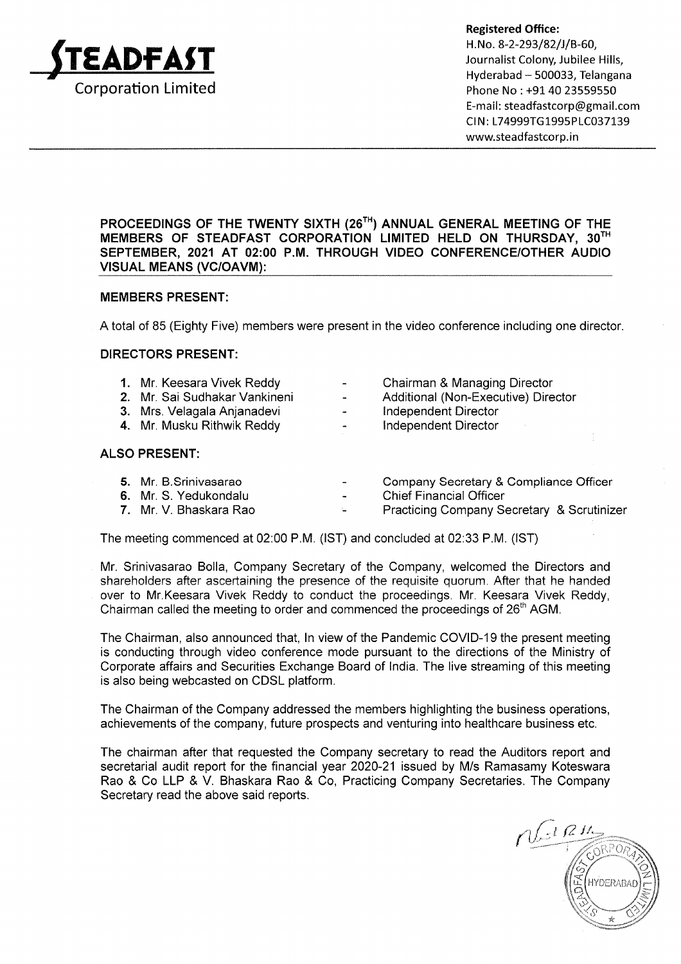

Registered Office:<br>H.No. 8-2-293/82/J/B-60,<br>Journalist Colony, Jubilee Hills,<br>Hyderabad – 500033, Telangana Phone No : +91 40 23559550 E-mall: steadfastcorp@gmall.com CIN: L74999TG1995PLC037139 wwwsteadfastcorp.in

# PROCEEDINGS OF THE TWENTY SIXTH (26<sup>TH</sup>) ANNUAL GENERAL MEETING OF THE MEMBERS OF STEADFAST CORPORATION LIMITED HELD ON THURSDAY, 3OTH SEPTEMBER, 2021 AT 02:00 P.M. THROUGH VIDEO CONFERENCE/OTHER AUDIO **VISUAL MEANS (VC/OAVM):**

# MEMBERS PRESENT:

A total of 85 (Eighty Five) members were present in the video conference including one director

#### DIRECTORS PRESENT:

| 1. Mr. Keesara Vivek Reddy    | $\sim$                   | Chairman & Managing Director        |
|-------------------------------|--------------------------|-------------------------------------|
| 2. Mr. Sai Sudhakar Vankineni | $\overline{\phantom{0}}$ | Additional (Non-Executive) Director |
| 3. Mrs. Velagala Anjanadevi   | $\sim$                   | Independent Director                |
| 4. Mr. Musku Rithwik Reddy    | $\sim$                   | Independent Director                |

- 
- 

# ALSO PRESENT

- Company Secretary & Compliance Officer Chief Financial Officer 5. Mr. B.Srinivasarao 6. Mr. S. Yedukondalu
- Practicing Company Secretary & Scrutinizer 7. Mr. V. Bhaskara Rao

The meeting commenced at 02:00 P.M. (lST) and concluded at 02:33 P.M. (lST)

Mr. Srinivasarao Bolla, Company Secretary of the Company, welcomed the Directors and shareholders after ascertaining the presence of the requisite quorum. After that he handed over to Mr.Keesara Vivek Reddy to conduct the proceedings. Mr. Keesara Vivek Reddy, Chairman called the meeting to order and commenced the proceedings of 26<sup>th</sup> AGM.

The Chairman, also announced that, ln view of the Pandemic COVID-19 the present meeting is conducting through video conference mode pursuant to the directions of the Ministry of Corporate affairs and Securities Exchange Board of lndia. The live streaming of this meeting is also being webcasted on CDSL platform.

The Chairman of the Company addressed the members highlighting the business operations, achievements of the company, future prospects and venturing into healthcare business etc.

The chairman after that requested the Company secretary to read the Auditors report and secretarial audit report for the financial year 2020-21 issued by M/s Ramasamy Koteswara Rao & Co LLP & V. Bhaskara Rao & Co, Practicing Company Secretaries. The Company Secretary read the above said reports.

 $\iota$ Rt HYDERABAD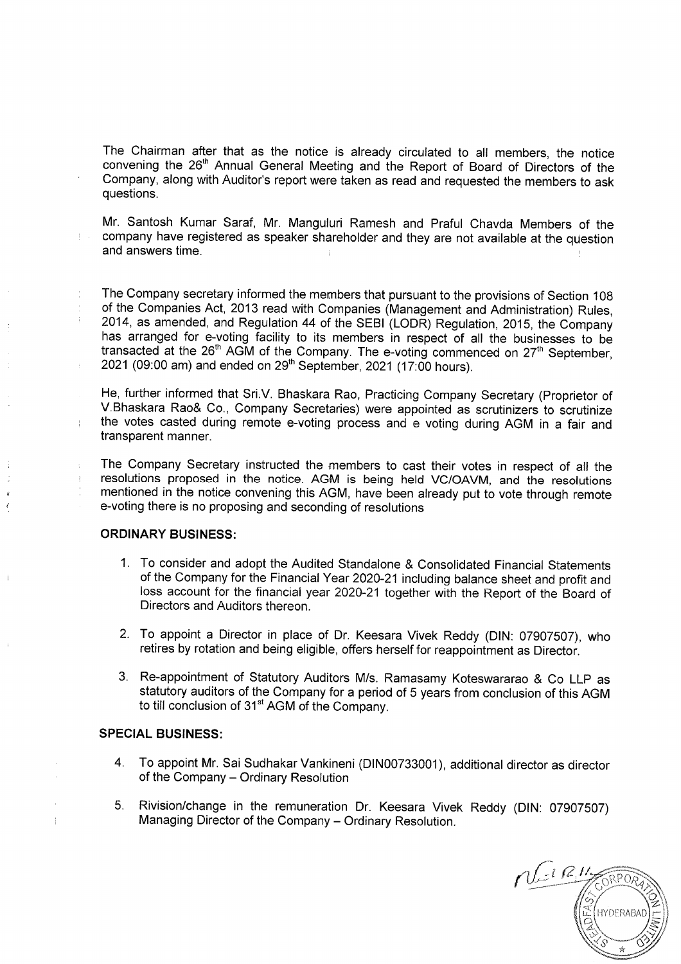The Chairman after that as the notice is already circulated to all members, the notice convening the 26<sup>th</sup> Annual General Meeting and the Report of Board of Directors of the Company, along with Auditor's report were taken as read and requested the members to ask questions.

Mr. Santosh Kumar Saraf, Mr. Manguluri Ramesh and Praful Chavda Members of the company have registered as speaker shareholder and they are not available at the questior<br>and answers time.

The Company secretary informed the members that pursuant to the provisions of Section <sup>108</sup> of the Companies Act, 2013 read with Companies (Management and Administration) Rules, has arranged for e-voting facility to its members in respect of all the businesses to be transacted at the  $26<sup>th</sup>$  AGM of the Company. The e-voting commenced on  $27<sup>th</sup>$  September, 2021 (09:00 am) and ended on  $29<sup>th</sup>$  September, 2021 (17:00 hours).

He, further informed that Sri.V. Bhaskara Rao, Practicing Company Secretary (Proprietor of V.Bhaskara Rao& Co., Company Secretaries) were appointed as scrutinizers to scrutinize the votes casted during remote e-voting process and e voting during AGM in a fair and transparent manner.

The Company Secretary instructed the members to cast their votes in respect of all the resolutions proposed in the notice. AGM is being held VC/OAVM, and the resolutions mentioned in the notice convening this AGM, have been already put to vote through remote e-voting there is no proposing and seconding of resolutions

#### ORDINARY BUSINESS:

 $\pm$ 

- 1. To consider and adopt the Audited Standalone & Consolidated Financial Statements of the Company for the Financial Year 2020-21 including balance sheet and profit and loss account for the financial year 2020-21 together with the Report of the Board of Directors and Auditors thereon.
- 2. To appoint a Director in place of Dr. Keesara Vivek Reddy (DlN: 07907507), who retires by rotation and being eligible, offers herself for reappointment as Director.
- 3. Re-appointment of Statutory Auditors M/s. Ramasamy Koteswararao & Co LLP as statutory auditors of the Company for a period of 5 years from conclusion of this AGM to till conclusion of 31<sup>st</sup> AGM of the Company.

#### SPECIAL BUSINESS:

- 4. To appoint Mr. Sai Sudhakar Vankineni (D|N00733001), additional director as director of the Company - Ordinary Resolution
- Rivision/change in the remuneration Dr. Keesara Vivek Reddy (DlN 07907507) 5. Managing Director of the Company - Ordinary Resolution.

 $\bar{\mathcal{Q}},\bar{\mathcal{I}}$ -t  $RPOA$ HYDERABAD